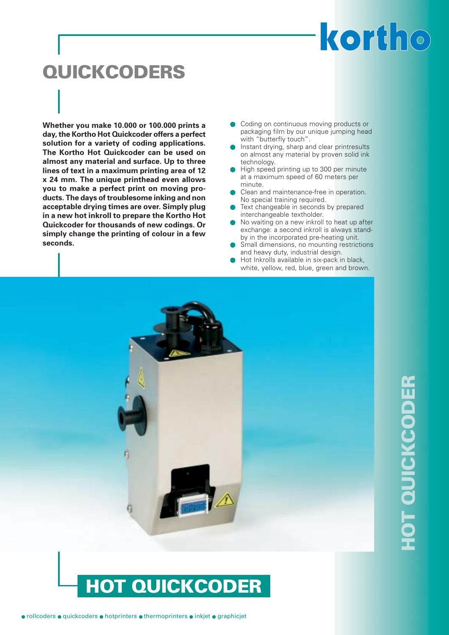## kortho

# **QUICKCODERS**

**Whether you make 10.000 or 100.000 prints a day, the Kortho Hot Quickcoder offers a perfect solution for a variety of coding applications. The Kortho Hot Quickcoder can be used on almost any material and surface. Up to three lines of text in a maximum printing area of 12 x 24 mm. The unique printhead even allows you to make a perfect print on moving products. The days of troublesome inking and non acceptable drying times are over. Simply plug in a new hot inkroll to prepare the Kortho Hot Quickcoder for thousands of new codings. Or simply change the printing of colour in a few seconds.**

- Coding on continuous moving products or packaging film by our unique jumping head with "butterfly touch".
- **Instant drying, sharp and clear printresults** on almost any material by proven solid ink technology.
- High speed printing up to 300 per minute at a maximum speed of 60 meters per minute.
- Clean and maintenance-free in operation. No special training required.
- Text changeable in seconds by prepared interchangeable textholder.
- No waiting on a new inkroll to heat up after exchange: a second inkroll is always standby in the incorporated pre-heating unit.
- Small dimensions, no mounting restrictions and heavy duty, industrial design.
- Hot Inkrolls available in six-pack in black, white, yellow, red, blue, green and brown.



# **HOT QUICKCODER IOT QUICKCODER**